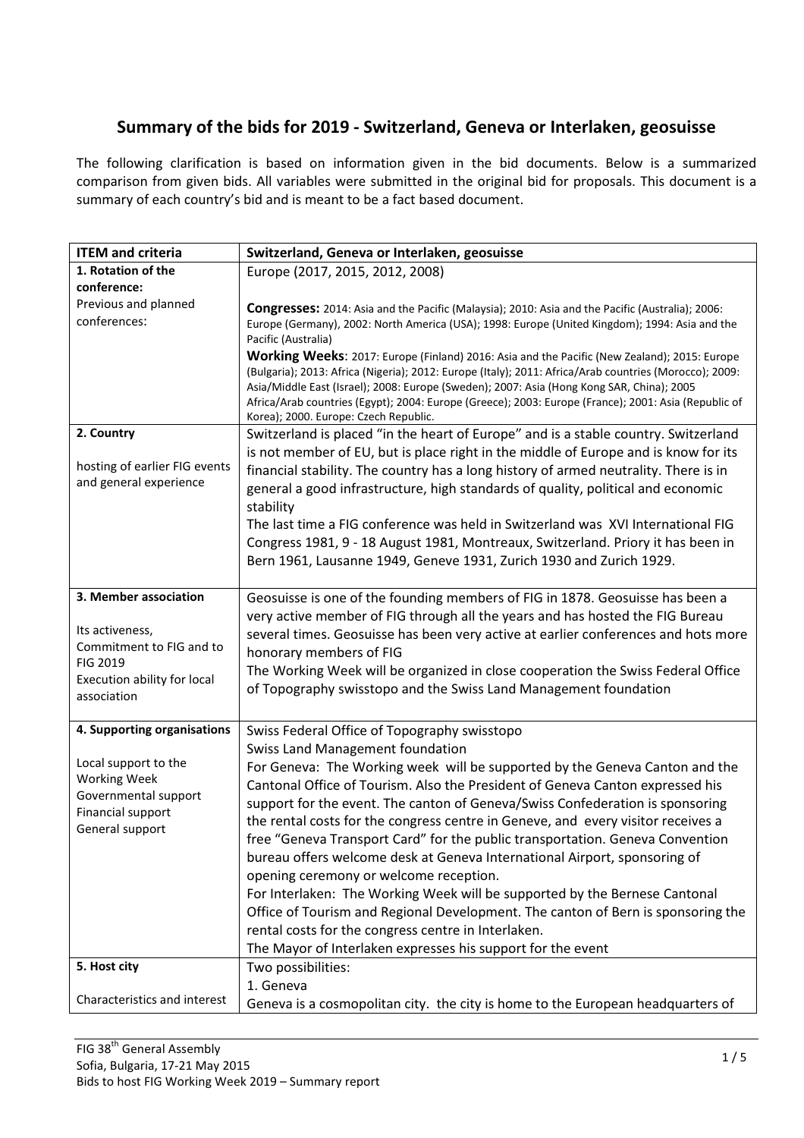## Summary of the bids for 2019 - Switzerland, Geneva or Interlaken, geosuisse

The following clarification is based on information given in the bid documents. Below is a summarized comparison from given bids. All variables were submitted in the original bid for proposals. This document is a summary of each country's bid and is meant to be a fact based document.

| <b>ITEM and criteria</b>                                                                                                              | Switzerland, Geneva or Interlaken, geosuisse                                                                                                                                                                                                                                                                                                                                                                                                                                                                                                                                                                                                                                                                                                                                                                                                                                 |
|---------------------------------------------------------------------------------------------------------------------------------------|------------------------------------------------------------------------------------------------------------------------------------------------------------------------------------------------------------------------------------------------------------------------------------------------------------------------------------------------------------------------------------------------------------------------------------------------------------------------------------------------------------------------------------------------------------------------------------------------------------------------------------------------------------------------------------------------------------------------------------------------------------------------------------------------------------------------------------------------------------------------------|
| 1. Rotation of the                                                                                                                    | Europe (2017, 2015, 2012, 2008)                                                                                                                                                                                                                                                                                                                                                                                                                                                                                                                                                                                                                                                                                                                                                                                                                                              |
| conference:                                                                                                                           |                                                                                                                                                                                                                                                                                                                                                                                                                                                                                                                                                                                                                                                                                                                                                                                                                                                                              |
| Previous and planned                                                                                                                  | Congresses: 2014: Asia and the Pacific (Malaysia); 2010: Asia and the Pacific (Australia); 2006:                                                                                                                                                                                                                                                                                                                                                                                                                                                                                                                                                                                                                                                                                                                                                                             |
| conferences:                                                                                                                          | Europe (Germany), 2002: North America (USA); 1998: Europe (United Kingdom); 1994: Asia and the<br>Pacific (Australia)                                                                                                                                                                                                                                                                                                                                                                                                                                                                                                                                                                                                                                                                                                                                                        |
|                                                                                                                                       | Working Weeks: 2017: Europe (Finland) 2016: Asia and the Pacific (New Zealand); 2015: Europe<br>(Bulgaria); 2013: Africa (Nigeria); 2012: Europe (Italy); 2011: Africa/Arab countries (Morocco); 2009:<br>Asia/Middle East (Israel); 2008: Europe (Sweden); 2007: Asia (Hong Kong SAR, China); 2005<br>Africa/Arab countries (Egypt); 2004: Europe (Greece); 2003: Europe (France); 2001: Asia (Republic of<br>Korea); 2000. Europe: Czech Republic.                                                                                                                                                                                                                                                                                                                                                                                                                         |
| 2. Country                                                                                                                            | Switzerland is placed "in the heart of Europe" and is a stable country. Switzerland                                                                                                                                                                                                                                                                                                                                                                                                                                                                                                                                                                                                                                                                                                                                                                                          |
| hosting of earlier FIG events<br>and general experience                                                                               | is not member of EU, but is place right in the middle of Europe and is know for its<br>financial stability. The country has a long history of armed neutrality. There is in<br>general a good infrastructure, high standards of quality, political and economic<br>stability                                                                                                                                                                                                                                                                                                                                                                                                                                                                                                                                                                                                 |
|                                                                                                                                       | The last time a FIG conference was held in Switzerland was XVI International FIG<br>Congress 1981, 9 - 18 August 1981, Montreaux, Switzerland. Priory it has been in<br>Bern 1961, Lausanne 1949, Geneve 1931, Zurich 1930 and Zurich 1929.                                                                                                                                                                                                                                                                                                                                                                                                                                                                                                                                                                                                                                  |
| 3. Member association<br>Its activeness,<br>Commitment to FIG and to<br><b>FIG 2019</b><br>Execution ability for local<br>association | Geosuisse is one of the founding members of FIG in 1878. Geosuisse has been a<br>very active member of FIG through all the years and has hosted the FIG Bureau<br>several times. Geosuisse has been very active at earlier conferences and hots more<br>honorary members of FIG<br>The Working Week will be organized in close cooperation the Swiss Federal Office<br>of Topography swisstopo and the Swiss Land Management foundation                                                                                                                                                                                                                                                                                                                                                                                                                                      |
| 4. Supporting organisations                                                                                                           | Swiss Federal Office of Topography swisstopo                                                                                                                                                                                                                                                                                                                                                                                                                                                                                                                                                                                                                                                                                                                                                                                                                                 |
| Local support to the<br><b>Working Week</b><br>Governmental support<br>Financial support<br>General support                           | <b>Swiss Land Management foundation</b><br>For Geneva: The Working week will be supported by the Geneva Canton and the<br>Cantonal Office of Tourism. Also the President of Geneva Canton expressed his<br>support for the event. The canton of Geneva/Swiss Confederation is sponsoring<br>the rental costs for the congress centre in Geneve, and every visitor receives a<br>free "Geneva Transport Card" for the public transportation. Geneva Convention<br>bureau offers welcome desk at Geneva International Airport, sponsoring of<br>opening ceremony or welcome reception.<br>For Interlaken: The Working Week will be supported by the Bernese Cantonal<br>Office of Tourism and Regional Development. The canton of Bern is sponsoring the<br>rental costs for the congress centre in Interlaken.<br>The Mayor of Interlaken expresses his support for the event |
| 5. Host city                                                                                                                          | Two possibilities:                                                                                                                                                                                                                                                                                                                                                                                                                                                                                                                                                                                                                                                                                                                                                                                                                                                           |
|                                                                                                                                       | 1. Geneva                                                                                                                                                                                                                                                                                                                                                                                                                                                                                                                                                                                                                                                                                                                                                                                                                                                                    |
| Characteristics and interest                                                                                                          | Geneva is a cosmopolitan city. the city is home to the European headquarters of                                                                                                                                                                                                                                                                                                                                                                                                                                                                                                                                                                                                                                                                                                                                                                                              |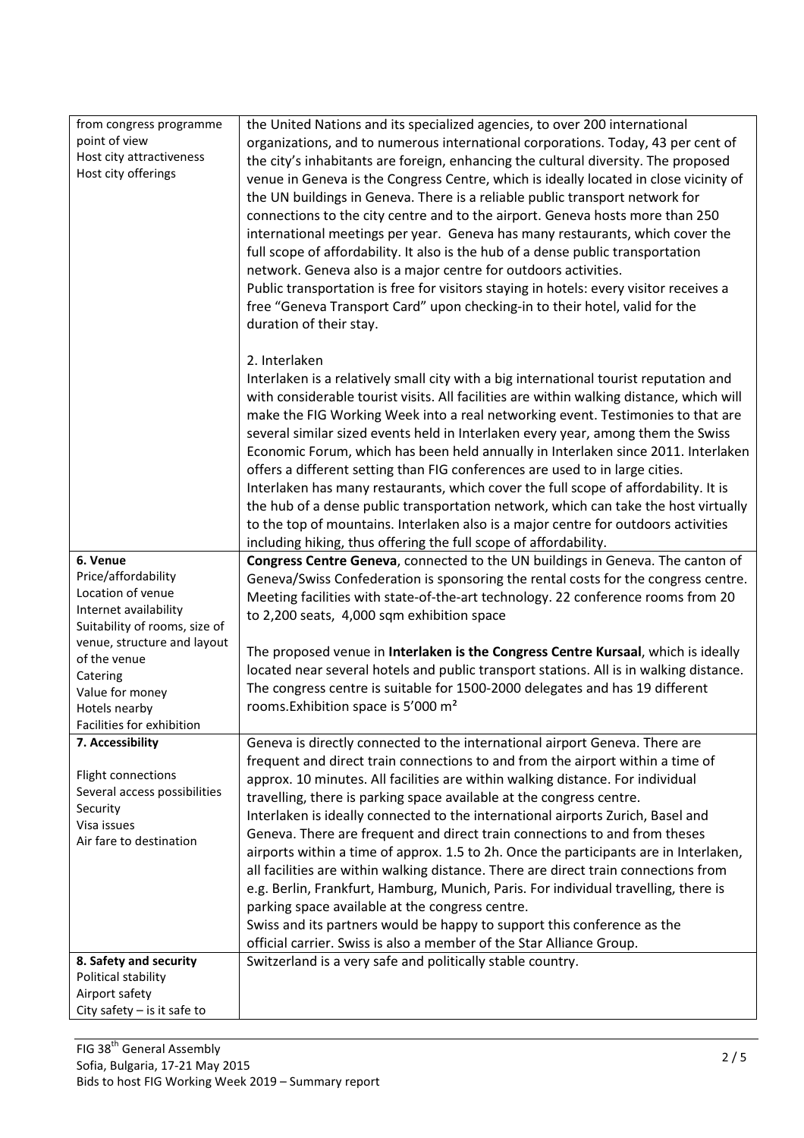| from congress programme       | the United Nations and its specialized agencies, to over 200 international               |
|-------------------------------|------------------------------------------------------------------------------------------|
| point of view                 | organizations, and to numerous international corporations. Today, 43 per cent of         |
| Host city attractiveness      |                                                                                          |
| Host city offerings           | the city's inhabitants are foreign, enhancing the cultural diversity. The proposed       |
|                               | venue in Geneva is the Congress Centre, which is ideally located in close vicinity of    |
|                               | the UN buildings in Geneva. There is a reliable public transport network for             |
|                               | connections to the city centre and to the airport. Geneva hosts more than 250            |
|                               | international meetings per year. Geneva has many restaurants, which cover the            |
|                               | full scope of affordability. It also is the hub of a dense public transportation         |
|                               | network. Geneva also is a major centre for outdoors activities.                          |
|                               | Public transportation is free for visitors staying in hotels: every visitor receives a   |
|                               | free "Geneva Transport Card" upon checking-in to their hotel, valid for the              |
|                               |                                                                                          |
|                               | duration of their stay.                                                                  |
|                               | 2. Interlaken                                                                            |
|                               |                                                                                          |
|                               | Interlaken is a relatively small city with a big international tourist reputation and    |
|                               | with considerable tourist visits. All facilities are within walking distance, which will |
|                               | make the FIG Working Week into a real networking event. Testimonies to that are          |
|                               | several similar sized events held in Interlaken every year, among them the Swiss         |
|                               | Economic Forum, which has been held annually in Interlaken since 2011. Interlaken        |
|                               | offers a different setting than FIG conferences are used to in large cities.             |
|                               | Interlaken has many restaurants, which cover the full scope of affordability. It is      |
|                               | the hub of a dense public transportation network, which can take the host virtually      |
|                               | to the top of mountains. Interlaken also is a major centre for outdoors activities       |
|                               | including hiking, thus offering the full scope of affordability.                         |
| 6. Venue                      | Congress Centre Geneva, connected to the UN buildings in Geneva. The canton of           |
| Price/affordability           | Geneva/Swiss Confederation is sponsoring the rental costs for the congress centre.       |
| Location of venue             | Meeting facilities with state-of-the-art technology. 22 conference rooms from 20         |
| Internet availability         |                                                                                          |
| Suitability of rooms, size of | to 2,200 seats, 4,000 sqm exhibition space                                               |
| venue, structure and layout   |                                                                                          |
| of the venue                  | The proposed venue in Interlaken is the Congress Centre Kursaal, which is ideally        |
| Catering                      | located near several hotels and public transport stations. All is in walking distance.   |
| Value for money               | The congress centre is suitable for 1500-2000 delegates and has 19 different             |
| Hotels nearby                 | rooms. Exhibition space is 5'000 m <sup>2</sup>                                          |
| Facilities for exhibition     |                                                                                          |
| 7. Accessibility              | Geneva is directly connected to the international airport Geneva. There are              |
|                               | frequent and direct train connections to and from the airport within a time of           |
| Flight connections            | approx. 10 minutes. All facilities are within walking distance. For individual           |
| Several access possibilities  | travelling, there is parking space available at the congress centre.                     |
| Security                      | Interlaken is ideally connected to the international airports Zurich, Basel and          |
| Visa issues                   | Geneva. There are frequent and direct train connections to and from theses               |
| Air fare to destination       |                                                                                          |
|                               | airports within a time of approx. 1.5 to 2h. Once the participants are in Interlaken,    |
|                               | all facilities are within walking distance. There are direct train connections from      |
|                               | e.g. Berlin, Frankfurt, Hamburg, Munich, Paris. For individual travelling, there is      |
|                               | parking space available at the congress centre.                                          |
|                               | Swiss and its partners would be happy to support this conference as the                  |
|                               | official carrier. Swiss is also a member of the Star Alliance Group.                     |
| 8. Safety and security        | Switzerland is a very safe and politically stable country.                               |
| Political stability           |                                                                                          |
| Airport safety                |                                                                                          |
| City safety $-$ is it safe to |                                                                                          |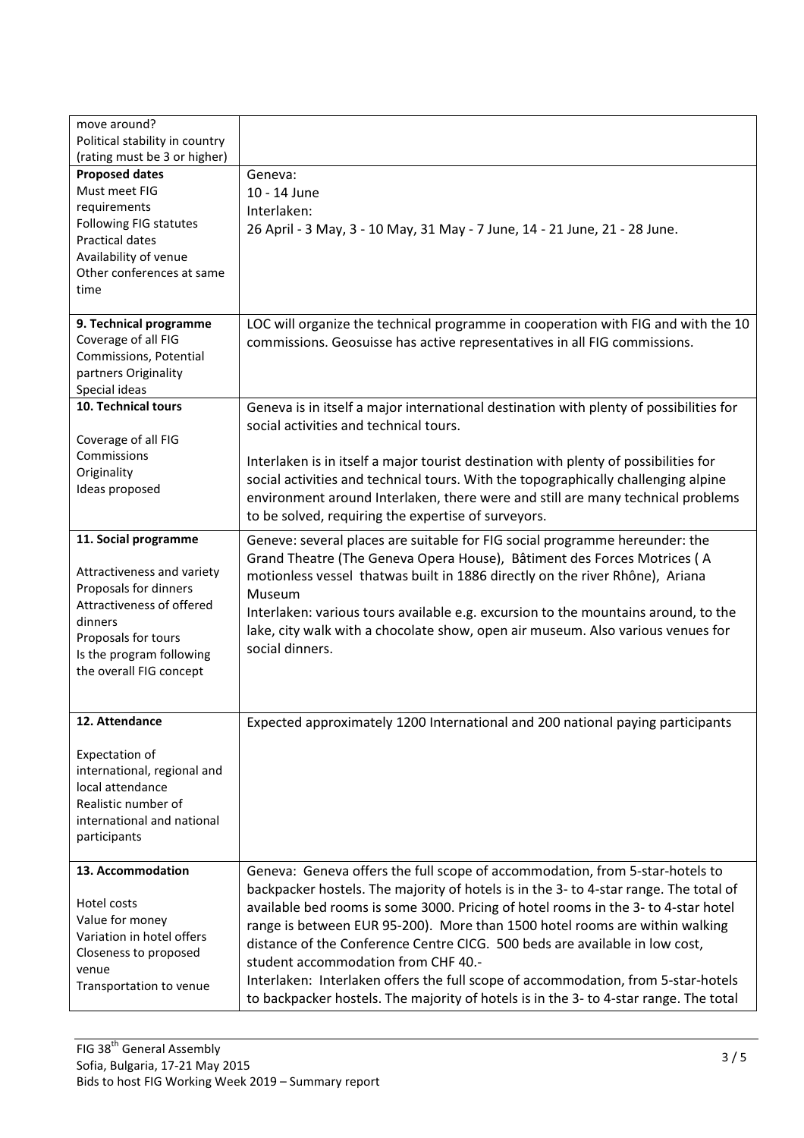| move around?<br>Political stability in country<br>(rating must be 3 or higher)                                                                                                                    |                                                                                                                                                                                                                                                                                                                                                                                                                                                                                                                                                                                                                                                |
|---------------------------------------------------------------------------------------------------------------------------------------------------------------------------------------------------|------------------------------------------------------------------------------------------------------------------------------------------------------------------------------------------------------------------------------------------------------------------------------------------------------------------------------------------------------------------------------------------------------------------------------------------------------------------------------------------------------------------------------------------------------------------------------------------------------------------------------------------------|
| <b>Proposed dates</b><br>Must meet FIG<br>requirements<br>Following FIG statutes<br><b>Practical dates</b><br>Availability of venue<br>Other conferences at same<br>time                          | Geneva:<br>10 - 14 June<br>Interlaken:<br>26 April - 3 May, 3 - 10 May, 31 May - 7 June, 14 - 21 June, 21 - 28 June.                                                                                                                                                                                                                                                                                                                                                                                                                                                                                                                           |
| 9. Technical programme<br>Coverage of all FIG<br>Commissions, Potential<br>partners Originality<br>Special ideas                                                                                  | LOC will organize the technical programme in cooperation with FIG and with the 10<br>commissions. Geosuisse has active representatives in all FIG commissions.                                                                                                                                                                                                                                                                                                                                                                                                                                                                                 |
| 10. Technical tours<br>Coverage of all FIG                                                                                                                                                        | Geneva is in itself a major international destination with plenty of possibilities for<br>social activities and technical tours.                                                                                                                                                                                                                                                                                                                                                                                                                                                                                                               |
| Commissions<br>Originality<br>Ideas proposed                                                                                                                                                      | Interlaken is in itself a major tourist destination with plenty of possibilities for<br>social activities and technical tours. With the topographically challenging alpine<br>environment around Interlaken, there were and still are many technical problems<br>to be solved, requiring the expertise of surveyors.                                                                                                                                                                                                                                                                                                                           |
| 11. Social programme<br>Attractiveness and variety<br>Proposals for dinners<br>Attractiveness of offered<br>dinners<br>Proposals for tours<br>Is the program following<br>the overall FIG concept | Geneve: several places are suitable for FIG social programme hereunder: the<br>Grand Theatre (The Geneva Opera House), Bâtiment des Forces Motrices (A<br>motionless vessel thatwas built in 1886 directly on the river Rhône), Ariana<br>Museum<br>Interlaken: various tours available e.g. excursion to the mountains around, to the<br>lake, city walk with a chocolate show, open air museum. Also various venues for<br>social dinners.                                                                                                                                                                                                   |
| 12. Attendance<br>Expectation of<br>international, regional and<br>local attendance<br>Realistic number of<br>international and national<br>participants                                          | Expected approximately 1200 International and 200 national paying participants                                                                                                                                                                                                                                                                                                                                                                                                                                                                                                                                                                 |
| 13. Accommodation<br>Hotel costs<br>Value for money<br>Variation in hotel offers<br>Closeness to proposed<br>venue<br>Transportation to venue                                                     | Geneva: Geneva offers the full scope of accommodation, from 5-star-hotels to<br>backpacker hostels. The majority of hotels is in the 3- to 4-star range. The total of<br>available bed rooms is some 3000. Pricing of hotel rooms in the 3- to 4-star hotel<br>range is between EUR 95-200). More than 1500 hotel rooms are within walking<br>distance of the Conference Centre CICG. 500 beds are available in low cost,<br>student accommodation from CHF 40.-<br>Interlaken: Interlaken offers the full scope of accommodation, from 5-star-hotels<br>to backpacker hostels. The majority of hotels is in the 3- to 4-star range. The total |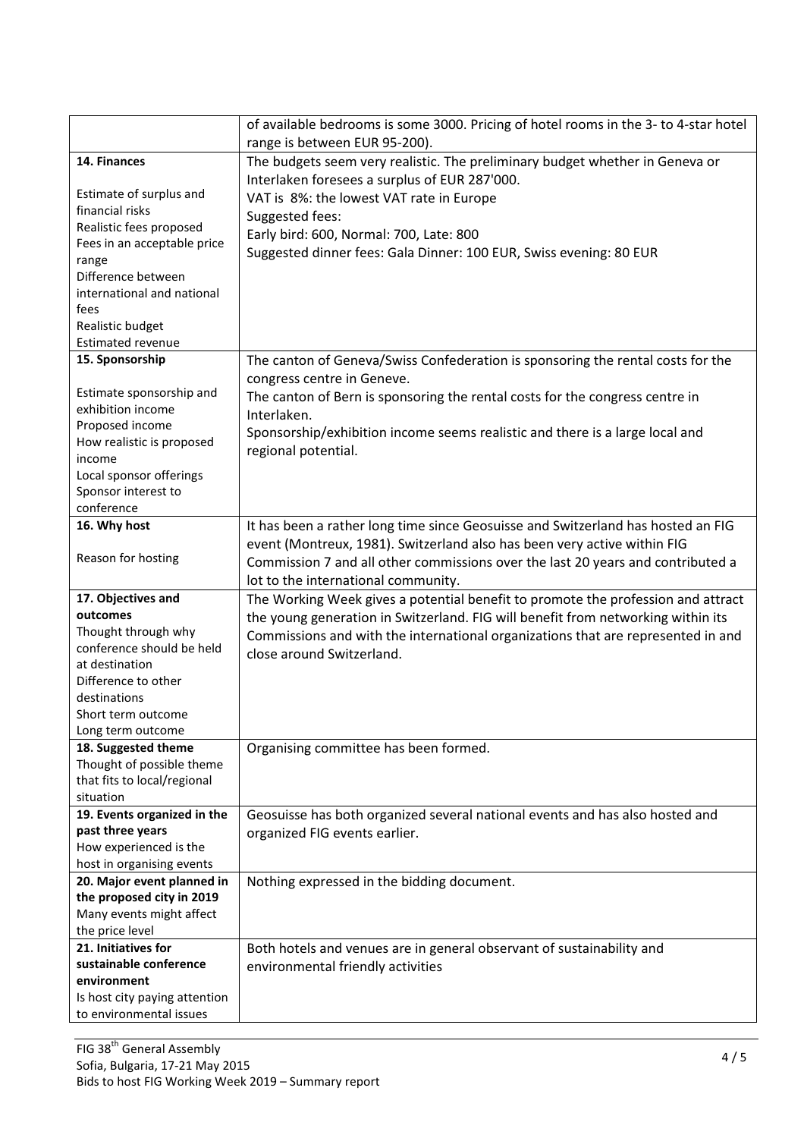|                                          | of available bedrooms is some 3000. Pricing of hotel rooms in the 3- to 4-star hotel<br>range is between EUR 95-200). |
|------------------------------------------|-----------------------------------------------------------------------------------------------------------------------|
| 14. Finances                             | The budgets seem very realistic. The preliminary budget whether in Geneva or                                          |
|                                          | Interlaken foresees a surplus of EUR 287'000.                                                                         |
| Estimate of surplus and                  | VAT is 8%: the lowest VAT rate in Europe                                                                              |
| financial risks                          |                                                                                                                       |
| Realistic fees proposed                  | Suggested fees:                                                                                                       |
| Fees in an acceptable price              | Early bird: 600, Normal: 700, Late: 800                                                                               |
| range                                    | Suggested dinner fees: Gala Dinner: 100 EUR, Swiss evening: 80 EUR                                                    |
| Difference between                       |                                                                                                                       |
| international and national               |                                                                                                                       |
| fees                                     |                                                                                                                       |
| Realistic budget                         |                                                                                                                       |
| <b>Estimated revenue</b>                 |                                                                                                                       |
| 15. Sponsorship                          | The canton of Geneva/Swiss Confederation is sponsoring the rental costs for the                                       |
|                                          | congress centre in Geneve.                                                                                            |
| Estimate sponsorship and                 | The canton of Bern is sponsoring the rental costs for the congress centre in                                          |
| exhibition income                        | Interlaken.                                                                                                           |
| Proposed income                          | Sponsorship/exhibition income seems realistic and there is a large local and                                          |
| How realistic is proposed                | regional potential.                                                                                                   |
| income                                   |                                                                                                                       |
| Local sponsor offerings                  |                                                                                                                       |
| Sponsor interest to                      |                                                                                                                       |
| conference                               |                                                                                                                       |
| 16. Why host                             | It has been a rather long time since Geosuisse and Switzerland has hosted an FIG                                      |
|                                          | event (Montreux, 1981). Switzerland also has been very active within FIG                                              |
| Reason for hosting                       | Commission 7 and all other commissions over the last 20 years and contributed a                                       |
|                                          | lot to the international community.                                                                                   |
| 17. Objectives and                       | The Working Week gives a potential benefit to promote the profession and attract                                      |
| outcomes                                 | the young generation in Switzerland. FIG will benefit from networking within its                                      |
| Thought through why                      | Commissions and with the international organizations that are represented in and                                      |
| conference should be held                | close around Switzerland.                                                                                             |
| at destination                           |                                                                                                                       |
| Difference to other                      |                                                                                                                       |
| destinations                             |                                                                                                                       |
| Short term outcome                       |                                                                                                                       |
| Long term outcome                        |                                                                                                                       |
| 18. Suggested theme                      | Organising committee has been formed.                                                                                 |
| Thought of possible theme                |                                                                                                                       |
| that fits to local/regional<br>situation |                                                                                                                       |
| 19. Events organized in the              |                                                                                                                       |
| past three years                         | Geosuisse has both organized several national events and has also hosted and                                          |
| How experienced is the                   | organized FIG events earlier.                                                                                         |
| host in organising events                |                                                                                                                       |
| 20. Major event planned in               | Nothing expressed in the bidding document.                                                                            |
| the proposed city in 2019                |                                                                                                                       |
| Many events might affect                 |                                                                                                                       |
| the price level                          |                                                                                                                       |
| 21. Initiatives for                      | Both hotels and venues are in general observant of sustainability and                                                 |
| sustainable conference                   | environmental friendly activities                                                                                     |
| environment                              |                                                                                                                       |
| Is host city paying attention            |                                                                                                                       |
| to environmental issues                  |                                                                                                                       |